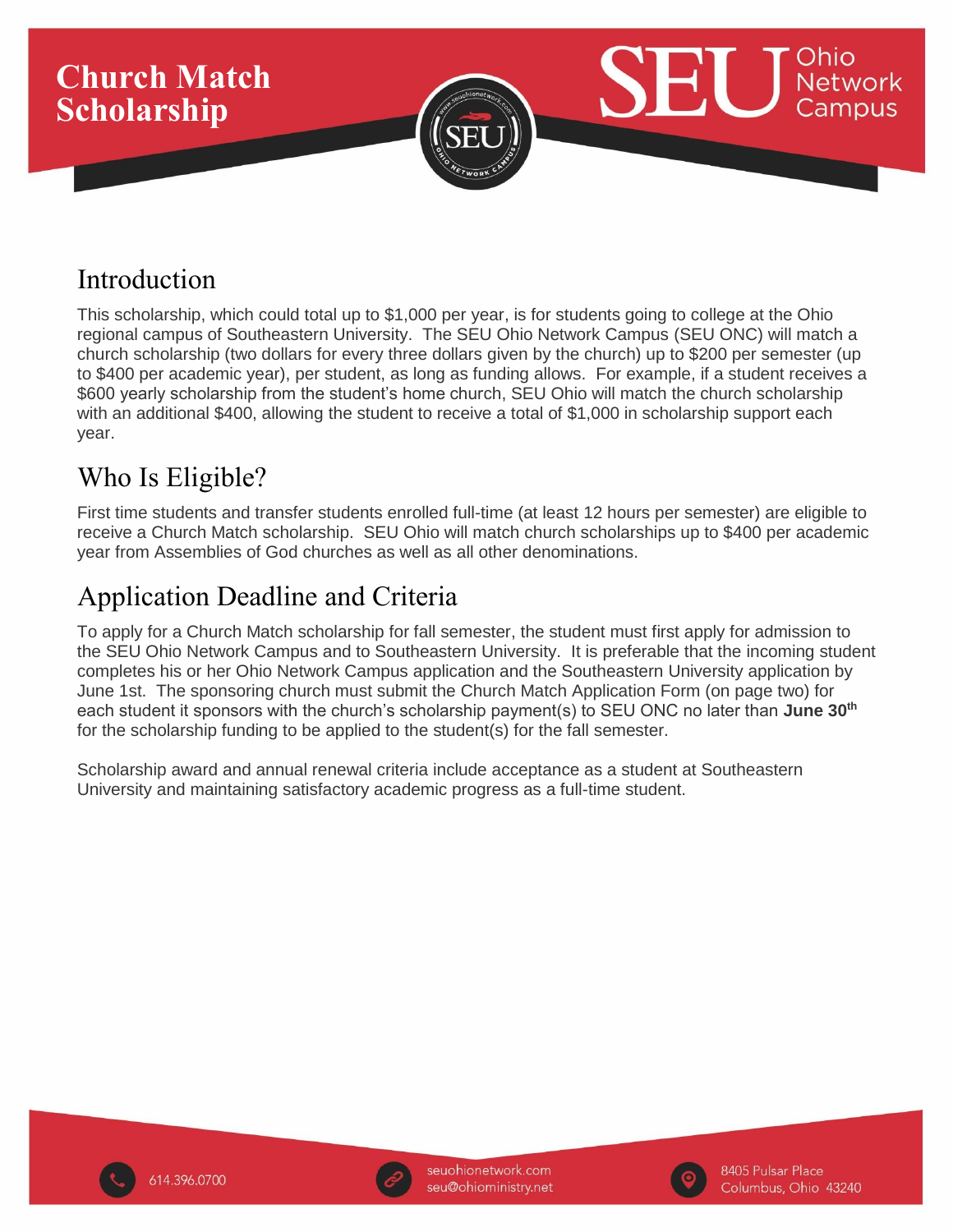

## Introduction

This scholarship, which could total up to \$1,000 per year, is for students going to college at the Ohio regional campus of Southeastern University. The SEU Ohio Network Campus (SEU ONC) will match a church scholarship (two dollars for every three dollars given by the church) up to \$200 per semester (up to \$400 per academic year), per student, as long as funding allows. For example, if a student receives a \$600 yearly scholarship from the student's home church, SEU Ohio will match the church scholarship with an additional \$400, allowing the student to receive a total of \$1,000 in scholarship support each year.

## Who Is Eligible?

First time students and transfer students enrolled full-time (at least 12 hours per semester) are eligible to receive a Church Match scholarship. SEU Ohio will match church scholarships up to \$400 per academic year from Assemblies of God churches as well as all other denominations.

# Application Deadline and Criteria

To apply for a Church Match scholarship for fall semester, the student must first apply for admission to the SEU Ohio Network Campus and to Southeastern University. It is preferable that the incoming student completes his or her Ohio Network Campus application and the Southeastern University application by June 1st. The sponsoring church must submit the Church Match Application Form (on page two) for each student it sponsors with the church's scholarship payment(s) to SEU ONC no later than **June 30th** for the scholarship funding to be applied to the student(s) for the fall semester.

Scholarship award and annual renewal criteria include acceptance as a student at Southeastern University and maintaining satisfactory academic progress as a full-time student.